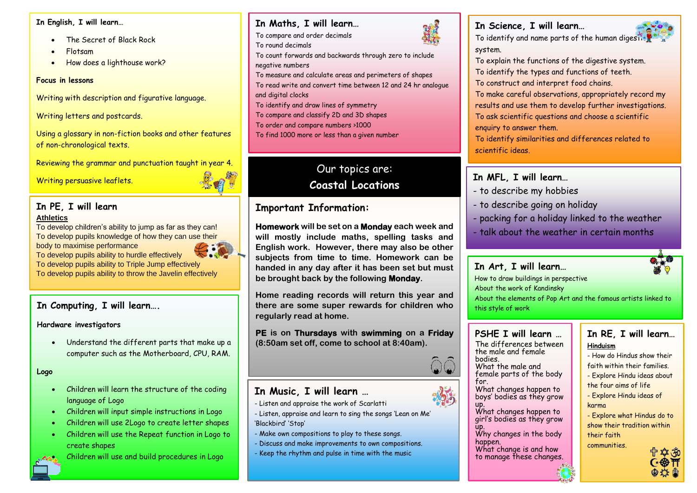#### **In English, I will learn…**

- $\vert$  will be • The Secret of Black Rock
	- Flotsam
	- How does a lighthouse work?

#### **Focus in lessons**

**Year** Writing with description and figurative language.

**6** Writing letters and postcards.

of non-chronological texts.<br>' Using a glossary in non-fiction books and other features

**er** Reviewing the grammar and punctuation taught in year 4.

Writing persuasive leaflets.

### **Term 2 Athletics In PE, I will learn**

To develop children's ability to jump as far as they can! To develop pupils knowledge of how they can use their body to maximise performance

To develop pupils ability to hurdle effectively

To develop pupils ability to Triple Jump effectively

To develop pupils ability to throw the Javelin effectively

### **In Computing, I will learn….**

#### **Hardware investigators**

• Understand the different parts that make up a computer such as the Motherboard, CPU, RAM.

#### **Logo**

- Children will learn the structure of the coding language of Logo
- Children will input simple instructions in Logo
- Children will use 2Logo to create letter shapes
- Children will use the Repeat function in Logo to create shapes



• Children will use and build procedures in Logo

### **In Maths, I will learn…**

To compare and order decimals

- To round decimals
- To count forwards and backwards through zero to include negative numbers
- To measure and calculate areas and perimeters of shapes
- To read write and convert time between 12 and 24 hr analogue and digital clocks
- To identify and draw lines of symmetry
- To compare and classify 2D and 3D shapes
- To order and compare numbers >1000

To find 1000 more or less than a given number

# Our topics are: **Coastal Locations**

# **Important Information:**

**Homework will be set on a Monday each week and will mostly include maths, spelling tasks and English work. However, there may also be other subjects from time to time. Homework can be handed in any day after it has been set but must be brought back by the following Monday.**

**Home reading records will return this year and there are some super rewards for children who regularly read at home.**

**PE is on Thursdays with swimming on a Friday (8:50am set off, come to school at 8:40am).**

# **In Music, I will learn …**

- Listen and appraise the work of Scarlatti
- Listen, appraise and learn to sing the songs 'Lean on Me' 'Blackbird' 'Stop'
- Make own compositions to play to these songs.
- Discuss and make improvements to own compositions.
- Keep the rhythm and pulse in time with the music



### **In Science, I will learn…** To identify and name parts of the human digestive system.



To explain the functions of the digestive system. To identify the types and functions of teeth.

To construct and interpret food chains.

To make careful observations, appropriately record my results and use them to develop further investigations. To ask scientific questions and choose a scientific enquiry to answer them.

To identify similarities and differences related to scientific ideas.

# **In MFL, I will learn…**

- to describe my hobbies
- to describe going on holiday
- packing for a holiday linked to the weather
- talk about the weather in certain months

### **In Art, I will learn…**

How to draw buildings in perspective

About the work of Kandinsky

About the elements of Pop Art and the famous artists linked to this style of work

### **PSHE I will learn …**

The differences between the male and female bodies.

What the male and female parts of the body for.

- What changes happen to boys' bodies as they grow up.
- What changes happen to girl's bodies as they grow up.
- Why changes in the body happen.

To research Ancient Greek vases

What change is and how to manage these changes.

### **In RE, I will learn… Hinduism**

- How do Hindus show their
- faith within their families.
- Explore Hindu ideas about
- the four aims of life
- Explore Hindu ideas of karma
- Explore what Hindus do to show their tradition within their faith

communities.